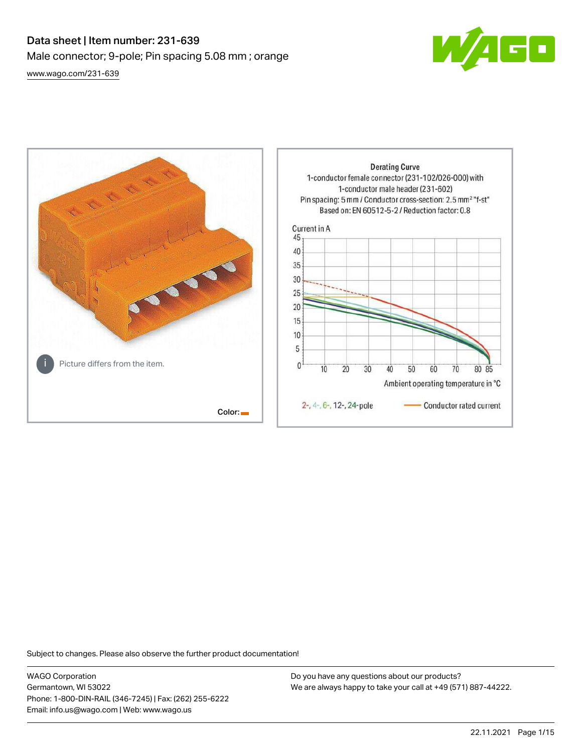# Data sheet | Item number: 231-639 Male connector; 9-pole; Pin spacing 5.08 mm ; orange [www.wago.com/231-639](http://www.wago.com/231-639)



**Derating Curve** 1-conductor female connector (231-102/026-000) with 1-conductor male header (231-602) Pin spacing: 5 mm / Conductor cross-section: 2.5 mm<sup>2</sup> "f-st" Based on: EN 60512-5-2 / Reduction factor: 0.8 Current in A 45 40 35 30 25  $20$ 15 10 5 Picture differs from the item.  $\mathbf{0}$  $\overline{10}$ 20 30 40 50 60 70 80 85 Ambient operating temperature in °C 2-, 4-, 6-, 12-, 24-pole Conductor rated current Color:

Subject to changes. Please also observe the further product documentation!

WAGO Corporation Germantown, WI 53022 Phone: 1-800-DIN-RAIL (346-7245) | Fax: (262) 255-6222 Email: info.us@wago.com | Web: www.wago.us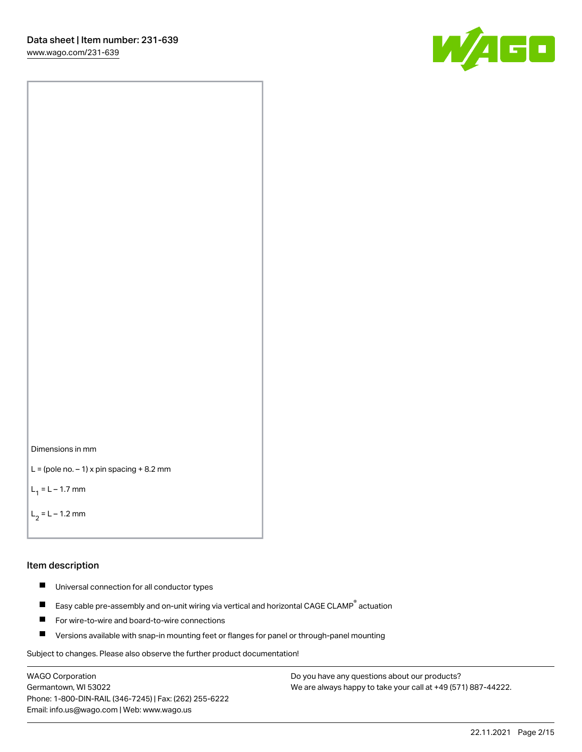



```
L = (pole no. -1) x pin spacing +8.2 mm
```
 $L_1 = L - 1.7$  mm

```
L_2 = L - 1.2 mm
```
## Item description

- $\blacksquare$ Universal connection for all conductor types
- Easy cable pre-assembly and on-unit wiring via vertical and horizontal CAGE CLAMP<sup>®</sup> actuation  $\blacksquare$
- П For wire-to-wire and board-to-wire connections
- $\blacksquare$ Versions available with snap-in mounting feet or flanges for panel or through-panel mounting

Subject to changes. Please also observe the further product documentation!

WAGO Corporation Germantown, WI 53022 Phone: 1-800-DIN-RAIL (346-7245) | Fax: (262) 255-6222 Email: info.us@wago.com | Web: www.wago.us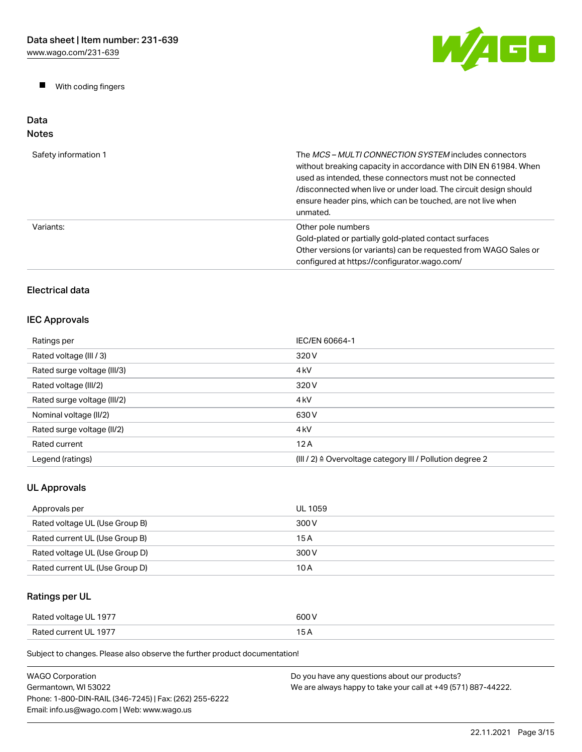$\blacksquare$ With coding fingers



## Data Notes

| Safety information 1 | The MCS-MULTI CONNECTION SYSTEM includes connectors<br>without breaking capacity in accordance with DIN EN 61984. When<br>used as intended, these connectors must not be connected<br>/disconnected when live or under load. The circuit design should<br>ensure header pins, which can be touched, are not live when<br>unmated. |
|----------------------|-----------------------------------------------------------------------------------------------------------------------------------------------------------------------------------------------------------------------------------------------------------------------------------------------------------------------------------|
| Variants:            | Other pole numbers<br>Gold-plated or partially gold-plated contact surfaces<br>Other versions (or variants) can be requested from WAGO Sales or<br>configured at https://configurator.wago.com/                                                                                                                                   |

# Electrical data

# IEC Approvals

| Ratings per                 | IEC/EN 60664-1                                                       |
|-----------------------------|----------------------------------------------------------------------|
| Rated voltage (III / 3)     | 320 V                                                                |
| Rated surge voltage (III/3) | 4 <sub>k</sub> V                                                     |
| Rated voltage (III/2)       | 320 V                                                                |
| Rated surge voltage (III/2) | 4 <sub>k</sub> V                                                     |
| Nominal voltage (II/2)      | 630 V                                                                |
| Rated surge voltage (II/2)  | 4 <sub>k</sub> V                                                     |
| Rated current               | 12A                                                                  |
| Legend (ratings)            | (III / 2) $\triangleq$ Overvoltage category III / Pollution degree 2 |

# UL Approvals

| Approvals per                  | UL 1059 |
|--------------------------------|---------|
| Rated voltage UL (Use Group B) | 300 V   |
| Rated current UL (Use Group B) | 15 A    |
| Rated voltage UL (Use Group D) | 300 V   |
| Rated current UL (Use Group D) | 10 A    |

# Ratings per UL

| Rated voltage UL 1977 | coo I |
|-----------------------|-------|
| Rated current UL 1977 | ____  |

Subject to changes. Please also observe the further product documentation!

| WAGO Corporation                                       | Do you have any questions about our products?                 |
|--------------------------------------------------------|---------------------------------------------------------------|
| Germantown, WI 53022                                   | We are always happy to take your call at +49 (571) 887-44222. |
| Phone: 1-800-DIN-RAIL (346-7245)   Fax: (262) 255-6222 |                                                               |
| Email: info.us@wago.com   Web: www.wago.us             |                                                               |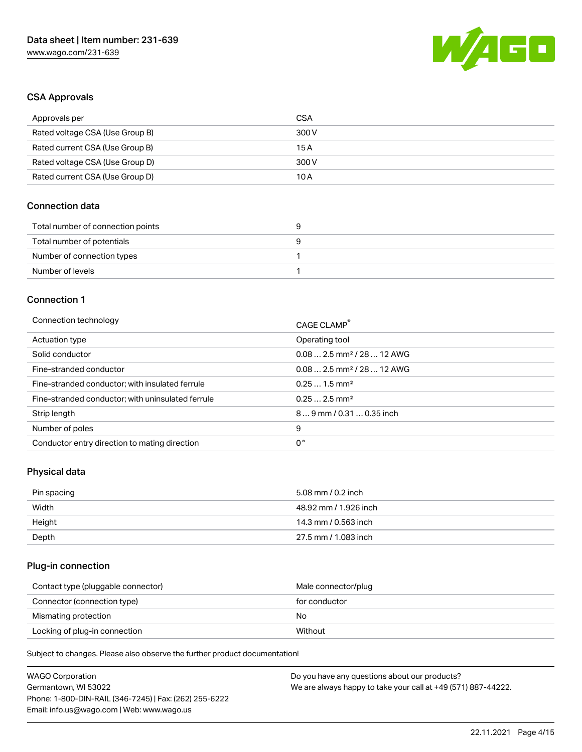

# CSA Approvals

| Approvals per                   | CSA   |
|---------------------------------|-------|
| Rated voltage CSA (Use Group B) | 300 V |
| Rated current CSA (Use Group B) | 15 A  |
| Rated voltage CSA (Use Group D) | 300 V |
| Rated current CSA (Use Group D) | 10 A  |

# Connection data

| Total number of connection points |  |
|-----------------------------------|--|
| Total number of potentials        |  |
| Number of connection types        |  |
| Number of levels                  |  |

### Connection 1

| Connection technology                             | CAGE CLAMP <sup>®</sup>                |
|---------------------------------------------------|----------------------------------------|
| Actuation type                                    | Operating tool                         |
| Solid conductor                                   | $0.082.5$ mm <sup>2</sup> / 28  12 AWG |
| Fine-stranded conductor                           | $0.082.5$ mm <sup>2</sup> / 28  12 AWG |
| Fine-stranded conductor; with insulated ferrule   | $0.251.5$ mm <sup>2</sup>              |
| Fine-stranded conductor; with uninsulated ferrule | $0.252.5$ mm <sup>2</sup>              |
| Strip length                                      | 89 mm / 0.31  0.35 inch                |
| Number of poles                                   | 9                                      |
| Conductor entry direction to mating direction     | 0°                                     |

# Physical data

| Pin spacing | 5.08 mm / 0.2 inch    |
|-------------|-----------------------|
| Width       | 48.92 mm / 1.926 inch |
| Height      | 14.3 mm / 0.563 inch  |
| Depth       | 27.5 mm / 1.083 inch  |

# Plug-in connection

| Contact type (pluggable connector) | Male connector/plug |
|------------------------------------|---------------------|
| Connector (connection type)        | for conductor       |
| Mismating protection               | No                  |
| Locking of plug-in connection      | Without             |

Subject to changes. Please also observe the further product documentation!

| <b>WAGO Corporation</b>                                | Do you have any questions about our products?                 |
|--------------------------------------------------------|---------------------------------------------------------------|
| Germantown, WI 53022                                   | We are always happy to take your call at +49 (571) 887-44222. |
| Phone: 1-800-DIN-RAIL (346-7245)   Fax: (262) 255-6222 |                                                               |
| Email: info.us@wago.com   Web: www.wago.us             |                                                               |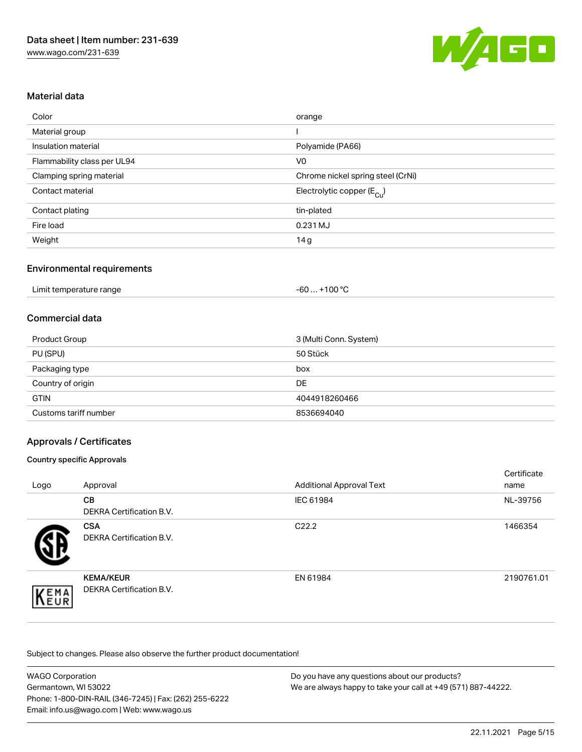

# Material data

| Color                       | orange                                |
|-----------------------------|---------------------------------------|
| Material group              |                                       |
| Insulation material         | Polyamide (PA66)                      |
| Flammability class per UL94 | V <sub>0</sub>                        |
| Clamping spring material    | Chrome nickel spring steel (CrNi)     |
| Contact material            | Electrolytic copper $(E_{\text{Cl}})$ |
| Contact plating             | tin-plated                            |
| Fire load                   | 0.231 MJ                              |
| Weight                      | 14 <sub>g</sub>                       |

# Environmental requirements

| Limit temperature range | $. +100 °C$<br>-60 |  |
|-------------------------|--------------------|--|
|-------------------------|--------------------|--|

## Commercial data

| <b>Product Group</b>  | 3 (Multi Conn. System) |
|-----------------------|------------------------|
| PU (SPU)              | 50 Stück               |
| Packaging type        | box                    |
| Country of origin     | <b>DE</b>              |
| <b>GTIN</b>           | 4044918260466          |
| Customs tariff number | 8536694040             |

# Approvals / Certificates

### Country specific Approvals

| Logo | Approval                                     | <b>Additional Approval Text</b> | Certificate<br>name |
|------|----------------------------------------------|---------------------------------|---------------------|
|      | <b>CB</b><br><b>DEKRA Certification B.V.</b> | IEC 61984                       | NL-39756            |
|      | <b>CSA</b><br>DEKRA Certification B.V.       | C <sub>22.2</sub>               | 1466354             |
| EMA  | <b>KEMA/KEUR</b><br>DEKRA Certification B.V. | EN 61984                        | 2190761.01          |

Subject to changes. Please also observe the further product documentation!

| <b>WAGO Corporation</b>                                | Do you have any questions about our products?                 |
|--------------------------------------------------------|---------------------------------------------------------------|
| Germantown, WI 53022                                   | We are always happy to take your call at +49 (571) 887-44222. |
| Phone: 1-800-DIN-RAIL (346-7245)   Fax: (262) 255-6222 |                                                               |
| Email: info.us@wago.com   Web: www.wago.us             |                                                               |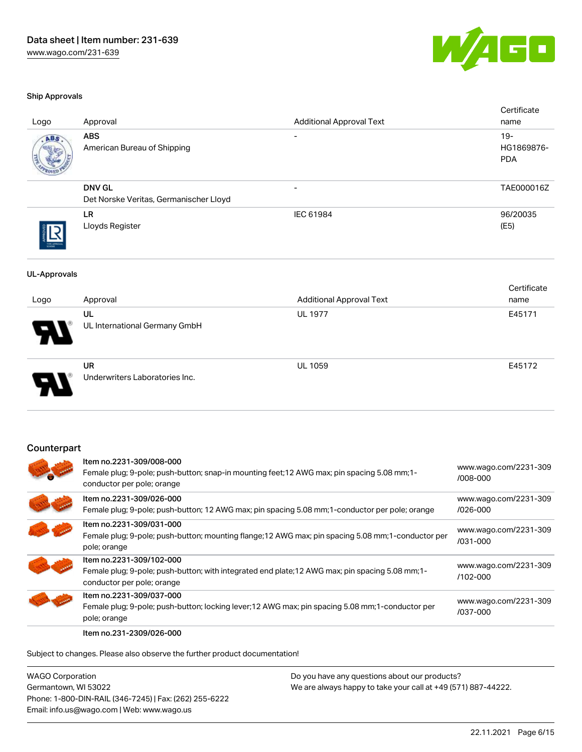

#### Ship Approvals

| Logo                | Approval                                                                                                                                                   | <b>Additional Approval Text</b> | Certificate<br>name                |
|---------------------|------------------------------------------------------------------------------------------------------------------------------------------------------------|---------------------------------|------------------------------------|
| ABS                 | <b>ABS</b><br>American Bureau of Shipping                                                                                                                  |                                 | $19 -$<br>HG1869876-<br><b>PDA</b> |
|                     | <b>DNV GL</b><br>Det Norske Veritas, Germanischer Lloyd                                                                                                    |                                 | TAE000016Z                         |
|                     | <b>LR</b><br>Lloyds Register                                                                                                                               | IEC 61984                       | 96/20035<br>(E5)                   |
| <b>UL-Approvals</b> |                                                                                                                                                            |                                 |                                    |
| Logo                | Approval                                                                                                                                                   | <b>Additional Approval Text</b> | Certificate<br>name                |
|                     | <b>UL</b><br>UL International Germany GmbH                                                                                                                 | <b>UL 1977</b>                  | E45171                             |
|                     | <b>UR</b><br>Underwriters Laboratories Inc.                                                                                                                | <b>UL 1059</b>                  | E45172                             |
| Counterpart         |                                                                                                                                                            |                                 |                                    |
|                     | Item no.2231-309/008-000<br>Female plug; 9-pole; push-button; snap-in mounting feet; 12 AWG max; pin spacing 5.08 mm; 1-<br>conductor per pole; orange     |                                 | www.wago.com/2231-309<br>/008-000  |
|                     | Item no.2231-309/026-000<br>Female plug; 9-pole; push-button; 12 AWG max; pin spacing 5.08 mm; 1-conductor per pole; orange                                |                                 | www.wago.com/2231-309<br>/026-000  |
|                     | Item no.2231-309/031-000<br>Female plug; 9-pole; push-button; mounting flange; 12 AWG max; pin spacing 5.08 mm; 1-conductor per<br>pole; orange            |                                 | www.wago.com/2231-309<br>/031-000  |
|                     | Item no.2231-309/102-000<br>Female plug; 9-pole; push-button; with integrated end plate; 12 AWG max; pin spacing 5.08 mm; 1-<br>conductor per pole; orange |                                 | www.wago.com/2231-309<br>/102-000  |
|                     | Item no.2231-309/037-000                                                                                                                                   |                                 | www.wago.com/2231-309              |

Female plug; 9-pole; push-button; locking lever;12 AWG max; pin spacing 5.08 mm;1-conductor per

Item no.231-2309/026-000

pole; orange

Subject to changes. Please also observe the further product documentation!

WAGO Corporation Germantown, WI 53022 Phone: 1-800-DIN-RAIL (346-7245) | Fax: (262) 255-6222 Email: info.us@wago.com | Web: www.wago.us

Do you have any questions about our products? We are always happy to take your call at +49 (571) 887-44222.

[/037-000](https://www.wago.com/2231-309/037-000)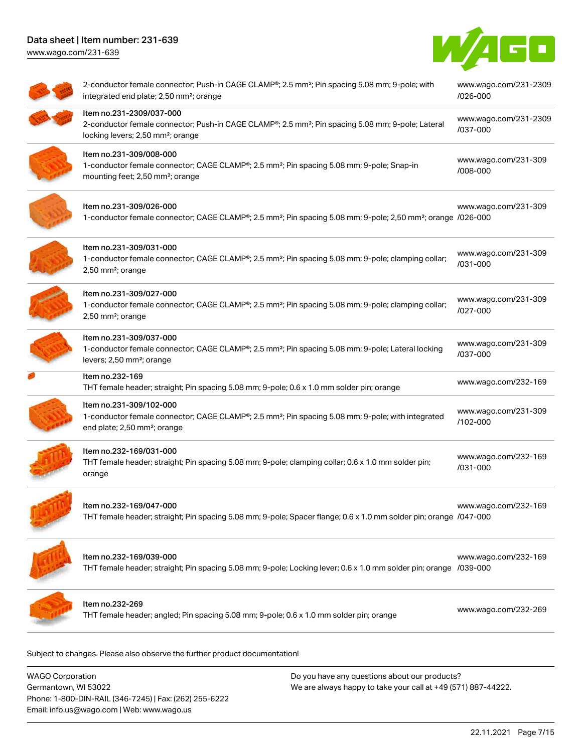[www.wago.com/231-639](http://www.wago.com/231-639)



| 2-conductor female connector; Push-in CAGE CLAMP®; 2.5 mm <sup>2</sup> ; Pin spacing 5.08 mm; 9-pole; with<br>integrated end plate; 2,50 mm <sup>2</sup> ; orange                          | www.wago.com/231-2309<br>/026-000 |
|--------------------------------------------------------------------------------------------------------------------------------------------------------------------------------------------|-----------------------------------|
| Item no.231-2309/037-000<br>2-conductor female connector; Push-in CAGE CLAMP®; 2.5 mm <sup>2</sup> ; Pin spacing 5.08 mm; 9-pole; Lateral<br>locking levers; 2,50 mm <sup>2</sup> ; orange | www.wago.com/231-2309<br>/037-000 |
| Item no.231-309/008-000<br>1-conductor female connector; CAGE CLAMP®; 2.5 mm <sup>2</sup> ; Pin spacing 5.08 mm; 9-pole; Snap-in<br>mounting feet; 2,50 mm <sup>2</sup> ; orange           | www.wago.com/231-309<br>/008-000  |
| Item no.231-309/026-000<br>1-conductor female connector; CAGE CLAMP®; 2.5 mm <sup>2</sup> ; Pin spacing 5.08 mm; 9-pole; 2,50 mm <sup>2</sup> ; orange /026-000                            | www.wago.com/231-309              |
| Item no.231-309/031-000<br>1-conductor female connector; CAGE CLAMP®; 2.5 mm <sup>2</sup> ; Pin spacing 5.08 mm; 9-pole; clamping collar;<br>2,50 mm <sup>2</sup> ; orange                 | www.wago.com/231-309<br>/031-000  |
| Item no.231-309/027-000<br>1-conductor female connector; CAGE CLAMP®; 2.5 mm <sup>2</sup> ; Pin spacing 5.08 mm; 9-pole; clamping collar;<br>$2,50$ mm <sup>2</sup> ; orange               | www.wago.com/231-309<br>/027-000  |
| Item no.231-309/037-000<br>1-conductor female connector; CAGE CLAMP®; 2.5 mm <sup>2</sup> ; Pin spacing 5.08 mm; 9-pole; Lateral locking<br>levers; 2,50 mm <sup>2</sup> ; orange          | www.wago.com/231-309<br>/037-000  |
| Item no.232-169<br>THT female header; straight; Pin spacing 5.08 mm; 9-pole; 0.6 x 1.0 mm solder pin; orange                                                                               | www.wago.com/232-169              |
| Item no.231-309/102-000<br>1-conductor female connector; CAGE CLAMP®; 2.5 mm <sup>2</sup> ; Pin spacing 5.08 mm; 9-pole; with integrated<br>end plate; 2,50 mm <sup>2</sup> ; orange       | www.wago.com/231-309<br>/102-000  |
| Item no.232-169/031-000<br>THT female header; straight; Pin spacing 5.08 mm; 9-pole; clamping collar; 0.6 x 1.0 mm solder pin;<br>orange                                                   | www.wago.com/232-169<br>/031-000  |
| Item no.232-169/047-000<br>THT female header; straight; Pin spacing 5.08 mm; 9-pole; Spacer flange; 0.6 x 1.0 mm solder pin; orange /047-000                                               | www.wago.com/232-169              |
| Item no.232-169/039-000<br>THT female header; straight; Pin spacing 5.08 mm; 9-pole; Locking lever; 0.6 x 1.0 mm solder pin; orange /039-000                                               | www.wago.com/232-169              |
| Item no.232-269<br>THT female header; angled; Pin spacing 5.08 mm; 9-pole; 0.6 x 1.0 mm solder pin; orange                                                                                 | www.wago.com/232-269              |

WAGO Corporation Germantown, WI 53022 Phone: 1-800-DIN-RAIL (346-7245) | Fax: (262) 255-6222 Email: info.us@wago.com | Web: www.wago.us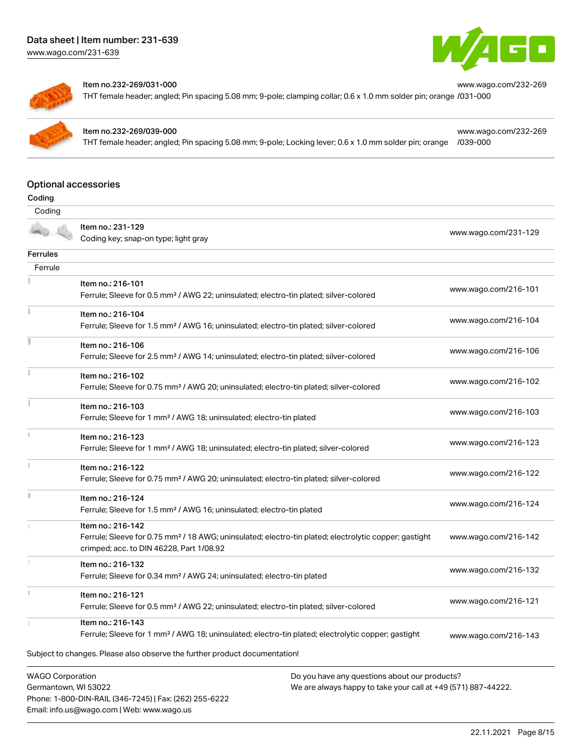



#### Item no.232-269/031-000

THT female header; angled; Pin spacing 5.08 mm; 9-pole; clamping collar; 0.6 x 1.0 mm solder pin; orange [/031-000](https://www.wago.com/232-269/031-000)



#### Item no.232-269/039-000

Phone: 1-800-DIN-RAIL (346-7245) | Fax: (262) 255-6222

Email: info.us@wago.com | Web: www.wago.us

THT female header; angled; Pin spacing 5.08 mm; 9-pole; Locking lever; 0.6 x 1.0 mm solder pin; orange [/039-000](https://www.wago.com/232-269/039-000)

[www.wago.com/232-269](https://www.wago.com/232-269/039-000)

[www.wago.com/232-269](https://www.wago.com/232-269/031-000)

# Optional accessories

| ı |
|---|
|   |

| Coding                  |                                                                                                                                                               |                                                               |                      |
|-------------------------|---------------------------------------------------------------------------------------------------------------------------------------------------------------|---------------------------------------------------------------|----------------------|
|                         | Item no.: 231-129                                                                                                                                             |                                                               | www.wago.com/231-129 |
|                         | Coding key; snap-on type; light gray                                                                                                                          |                                                               |                      |
| <b>Ferrules</b>         |                                                                                                                                                               |                                                               |                      |
| Ferrule                 |                                                                                                                                                               |                                                               |                      |
|                         | Item no.: 216-101                                                                                                                                             |                                                               |                      |
|                         | Ferrule; Sleeve for 0.5 mm <sup>2</sup> / AWG 22; uninsulated; electro-tin plated; silver-colored                                                             |                                                               | www.wago.com/216-101 |
|                         | Item no.: 216-104                                                                                                                                             |                                                               |                      |
|                         | Ferrule; Sleeve for 1.5 mm <sup>2</sup> / AWG 16; uninsulated; electro-tin plated; silver-colored                                                             |                                                               | www.wago.com/216-104 |
|                         | Item no.: 216-106                                                                                                                                             |                                                               | www.wago.com/216-106 |
|                         | Ferrule; Sleeve for 2.5 mm <sup>2</sup> / AWG 14; uninsulated; electro-tin plated; silver-colored                                                             |                                                               |                      |
|                         | Item no.: 216-102                                                                                                                                             |                                                               | www.wago.com/216-102 |
|                         | Ferrule; Sleeve for 0.75 mm <sup>2</sup> / AWG 20; uninsulated; electro-tin plated; silver-colored                                                            |                                                               |                      |
| ł                       | Item no.: 216-103                                                                                                                                             |                                                               |                      |
|                         | Ferrule; Sleeve for 1 mm <sup>2</sup> / AWG 18; uninsulated; electro-tin plated                                                                               |                                                               | www.wago.com/216-103 |
|                         | Item no.: 216-123                                                                                                                                             |                                                               | www.wago.com/216-123 |
|                         | Ferrule; Sleeve for 1 mm <sup>2</sup> / AWG 18; uninsulated; electro-tin plated; silver-colored                                                               |                                                               |                      |
|                         | Item no.: 216-122                                                                                                                                             |                                                               | www.wago.com/216-122 |
|                         | Ferrule; Sleeve for 0.75 mm <sup>2</sup> / AWG 20; uninsulated; electro-tin plated; silver-colored                                                            |                                                               |                      |
| E                       | Item no.: 216-124                                                                                                                                             |                                                               |                      |
|                         | Ferrule; Sleeve for 1.5 mm <sup>2</sup> / AWG 16; uninsulated; electro-tin plated                                                                             |                                                               | www.wago.com/216-124 |
|                         | Item no.: 216-142                                                                                                                                             |                                                               |                      |
|                         | Ferrule; Sleeve for 0.75 mm <sup>2</sup> / 18 AWG; uninsulated; electro-tin plated; electrolytic copper; gastight<br>crimped; acc. to DIN 46228, Part 1/08.92 |                                                               | www.wago.com/216-142 |
|                         | Item no.: 216-132                                                                                                                                             |                                                               |                      |
|                         | Ferrule; Sleeve for 0.34 mm <sup>2</sup> / AWG 24; uninsulated; electro-tin plated                                                                            |                                                               | www.wago.com/216-132 |
|                         | Item no.: 216-121                                                                                                                                             |                                                               |                      |
|                         | Ferrule; Sleeve for 0.5 mm <sup>2</sup> / AWG 22; uninsulated; electro-tin plated; silver-colored                                                             |                                                               | www.wago.com/216-121 |
|                         | Item no.: 216-143                                                                                                                                             |                                                               |                      |
|                         | Ferrule; Sleeve for 1 mm <sup>2</sup> / AWG 18; uninsulated; electro-tin plated; electrolytic copper; gastight                                                |                                                               | www.wago.com/216-143 |
|                         | Subject to changes. Please also observe the further product documentation!                                                                                    |                                                               |                      |
| <b>WAGO Corporation</b> |                                                                                                                                                               | Do you have any questions about our products?                 |                      |
| Germantown, WI 53022    |                                                                                                                                                               | We are always happy to take your call at +49 (571) 887-44222. |                      |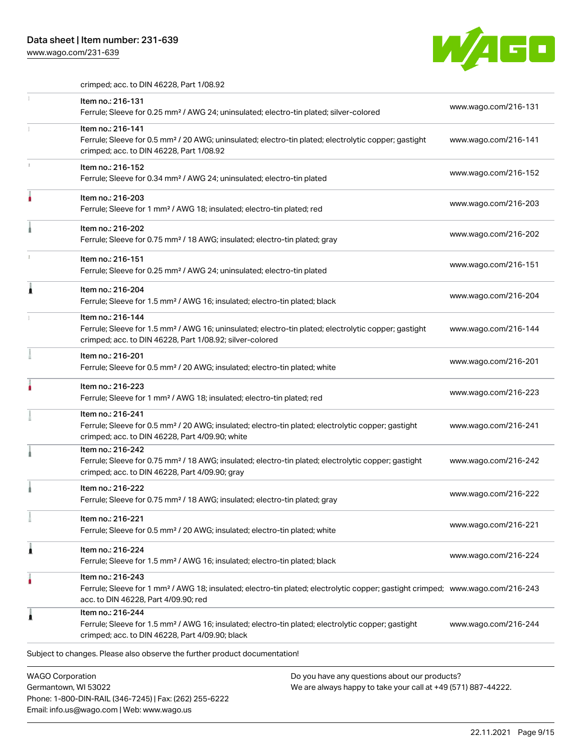Email: info.us@wago.com | Web: www.wago.us

[www.wago.com/231-639](http://www.wago.com/231-639)



crimped; acc. to DIN 46228, Part 1/08.92

|   | Item no.: 216-131<br>Ferrule; Sleeve for 0.25 mm <sup>2</sup> / AWG 24; uninsulated; electro-tin plated; silver-colored                                                                                                     | www.wago.com/216-131 |
|---|-----------------------------------------------------------------------------------------------------------------------------------------------------------------------------------------------------------------------------|----------------------|
|   | Item no.: 216-141<br>Ferrule; Sleeve for 0.5 mm <sup>2</sup> / 20 AWG; uninsulated; electro-tin plated; electrolytic copper; gastight<br>crimped; acc. to DIN 46228, Part 1/08.92                                           | www.wago.com/216-141 |
|   | Item no.: 216-152<br>Ferrule; Sleeve for 0.34 mm <sup>2</sup> / AWG 24; uninsulated; electro-tin plated                                                                                                                     | www.wago.com/216-152 |
|   | Item no.: 216-203<br>Ferrule; Sleeve for 1 mm <sup>2</sup> / AWG 18; insulated; electro-tin plated; red                                                                                                                     | www.wago.com/216-203 |
|   | Item no.: 216-202<br>Ferrule; Sleeve for 0.75 mm <sup>2</sup> / 18 AWG; insulated; electro-tin plated; gray                                                                                                                 | www.wago.com/216-202 |
|   | Item no.: 216-151<br>Ferrule; Sleeve for 0.25 mm <sup>2</sup> / AWG 24; uninsulated; electro-tin plated                                                                                                                     | www.wago.com/216-151 |
|   | Item no.: 216-204<br>Ferrule; Sleeve for 1.5 mm <sup>2</sup> / AWG 16; insulated; electro-tin plated; black                                                                                                                 | www.wago.com/216-204 |
|   | Item no.: 216-144<br>Ferrule; Sleeve for 1.5 mm <sup>2</sup> / AWG 16; uninsulated; electro-tin plated; electrolytic copper; gastight<br>crimped; acc. to DIN 46228, Part 1/08.92; silver-colored                           | www.wago.com/216-144 |
|   | Item no.: 216-201<br>Ferrule; Sleeve for 0.5 mm <sup>2</sup> / 20 AWG; insulated; electro-tin plated; white                                                                                                                 | www.wago.com/216-201 |
|   | Item no.: 216-223<br>Ferrule; Sleeve for 1 mm <sup>2</sup> / AWG 18; insulated; electro-tin plated; red                                                                                                                     | www.wago.com/216-223 |
|   | Item no.: 216-241<br>Ferrule; Sleeve for 0.5 mm <sup>2</sup> / 20 AWG; insulated; electro-tin plated; electrolytic copper; gastight<br>crimped; acc. to DIN 46228, Part 4/09.90; white                                      | www.wago.com/216-241 |
|   | Item no.: 216-242<br>Ferrule; Sleeve for 0.75 mm <sup>2</sup> / 18 AWG; insulated; electro-tin plated; electrolytic copper; gastight<br>crimped; acc. to DIN 46228, Part 4/09.90; gray                                      | www.wago.com/216-242 |
|   | Item no.: 216-222<br>Ferrule; Sleeve for 0.75 mm <sup>2</sup> / 18 AWG; insulated; electro-tin plated; gray                                                                                                                 | www.wago.com/216-222 |
|   | Item no.: 216-221<br>Ferrule; Sleeve for 0.5 mm <sup>2</sup> / 20 AWG; insulated; electro-tin plated; white                                                                                                                 | www.wago.com/216-221 |
| 1 | Item no.: 216-224<br>Ferrule; Sleeve for 1.5 mm <sup>2</sup> / AWG 16; insulated; electro-tin plated; black                                                                                                                 | www.wago.com/216-224 |
|   | Item no.: 216-243<br>Ferrule; Sleeve for 1 mm <sup>2</sup> / AWG 18; insulated; electro-tin plated; electrolytic copper; gastight crimped; www.wago.com/216-243<br>acc. to DIN 46228, Part 4/09.90; red                     |                      |
|   | Item no.: 216-244<br>Ferrule; Sleeve for 1.5 mm <sup>2</sup> / AWG 16; insulated; electro-tin plated; electrolytic copper; gastight<br>crimped; acc. to DIN 46228, Part 4/09.90; black                                      | www.wago.com/216-244 |
|   | Subject to changes. Please also observe the further product documentation!                                                                                                                                                  |                      |
|   | <b>WAGO Corporation</b><br>Do you have any questions about our products?<br>We are always happy to take your call at +49 (571) 887-44222.<br>Germantown, WI 53022<br>Phone: 1-800-DIN-RAIL (346-7245)   Fax: (262) 255-6222 |                      |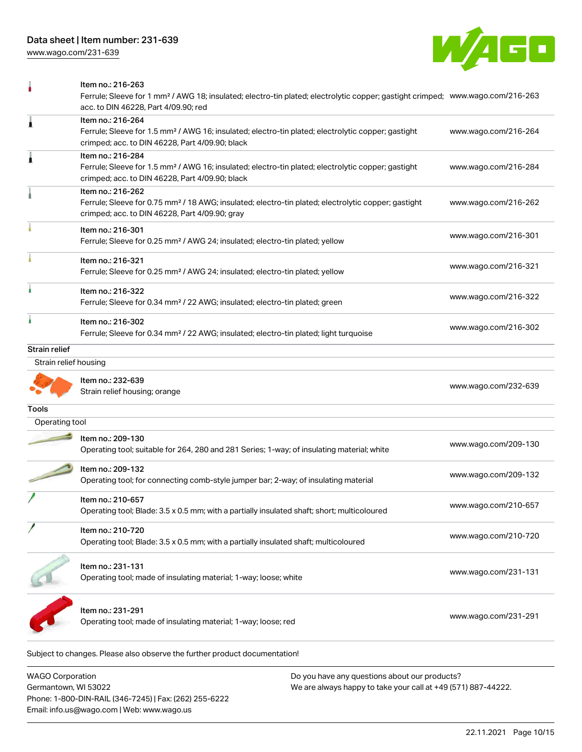[www.wago.com/231-639](http://www.wago.com/231-639)



|                       | Item no.: 216-263<br>Ferrule; Sleeve for 1 mm <sup>2</sup> / AWG 18; insulated; electro-tin plated; electrolytic copper; gastight crimped; www.wago.com/216-263<br>acc. to DIN 46228, Part 4/09.90; red |                      |
|-----------------------|---------------------------------------------------------------------------------------------------------------------------------------------------------------------------------------------------------|----------------------|
| 1                     | Item no.: 216-264<br>Ferrule; Sleeve for 1.5 mm <sup>2</sup> / AWG 16; insulated; electro-tin plated; electrolytic copper; gastight<br>crimped; acc. to DIN 46228, Part 4/09.90; black                  | www.wago.com/216-264 |
| 1                     | Item no.: 216-284<br>Ferrule; Sleeve for 1.5 mm <sup>2</sup> / AWG 16; insulated; electro-tin plated; electrolytic copper; gastight<br>crimped; acc. to DIN 46228, Part 4/09.90; black                  | www.wago.com/216-284 |
|                       | Item no.: 216-262<br>Ferrule; Sleeve for 0.75 mm <sup>2</sup> / 18 AWG; insulated; electro-tin plated; electrolytic copper; gastight<br>crimped; acc. to DIN 46228, Part 4/09.90; gray                  | www.wago.com/216-262 |
|                       | Item no.: 216-301<br>Ferrule; Sleeve for 0.25 mm <sup>2</sup> / AWG 24; insulated; electro-tin plated; yellow                                                                                           | www.wago.com/216-301 |
|                       | Item no.: 216-321<br>Ferrule; Sleeve for 0.25 mm <sup>2</sup> / AWG 24; insulated; electro-tin plated; yellow                                                                                           | www.wago.com/216-321 |
|                       | Item no.: 216-322<br>Ferrule; Sleeve for 0.34 mm <sup>2</sup> / 22 AWG; insulated; electro-tin plated; green                                                                                            | www.wago.com/216-322 |
|                       | Item no.: 216-302<br>Ferrule; Sleeve for 0.34 mm <sup>2</sup> / 22 AWG; insulated; electro-tin plated; light turquoise                                                                                  | www.wago.com/216-302 |
| <b>Strain relief</b>  |                                                                                                                                                                                                         |                      |
| Strain relief housing |                                                                                                                                                                                                         |                      |
|                       | Item no.: 232-639<br>Strain relief housing; orange                                                                                                                                                      | www.wago.com/232-639 |
| Tools                 |                                                                                                                                                                                                         |                      |
| Operating tool        |                                                                                                                                                                                                         |                      |
|                       | Item no.: 209-130<br>Operating tool; suitable for 264, 280 and 281 Series; 1-way; of insulating material; white                                                                                         | www.wago.com/209-130 |
|                       | Item no.: 209-132<br>Operating tool; for connecting comb-style jumper bar; 2-way; of insulating material                                                                                                | www.wago.com/209-132 |
|                       | Item no.: 210-657<br>Operating tool; Blade: 3.5 x 0.5 mm; with a partially insulated shaft; short; multicoloured                                                                                        | www.wago.com/210-657 |
|                       | Item no.: 210-720<br>Operating tool; Blade: 3.5 x 0.5 mm; with a partially insulated shaft; multicoloured                                                                                               | www.wago.com/210-720 |
|                       | Item no.: 231-131<br>Operating tool; made of insulating material; 1-way; loose; white                                                                                                                   | www.wago.com/231-131 |
|                       | Item no.: 231-291<br>Operating tool; made of insulating material; 1-way; loose; red                                                                                                                     | www.wago.com/231-291 |
|                       | Subject to changes. Please also observe the further product documentation!                                                                                                                              |                      |

WAGO Corporation Germantown, WI 53022 Phone: 1-800-DIN-RAIL (346-7245) | Fax: (262) 255-6222 Email: info.us@wago.com | Web: www.wago.us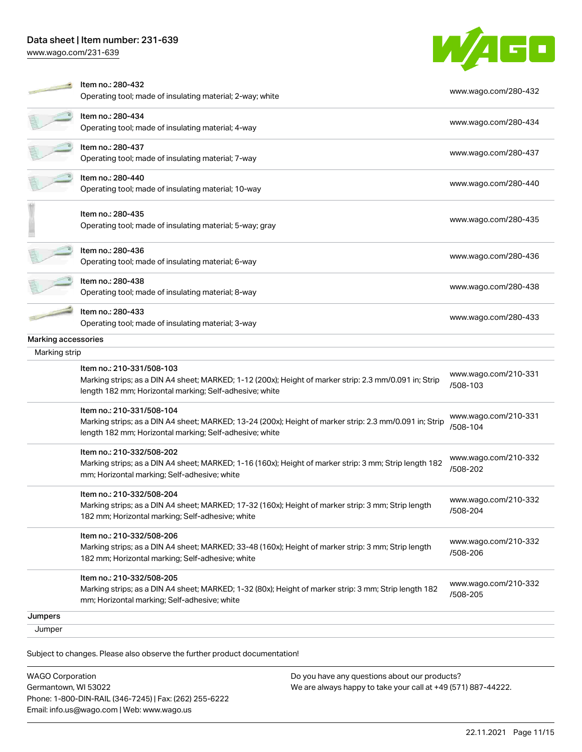[www.wago.com/231-639](http://www.wago.com/231-639)



|                     | Item no.: 280-432<br>Operating tool; made of insulating material; 2-way; white                                                                                                                  | www.wago.com/280-432             |
|---------------------|-------------------------------------------------------------------------------------------------------------------------------------------------------------------------------------------------|----------------------------------|
|                     | Item no.: 280-434<br>Operating tool; made of insulating material; 4-way                                                                                                                         | www.wago.com/280-434             |
|                     | Item no.: 280-437<br>Operating tool; made of insulating material; 7-way                                                                                                                         | www.wago.com/280-437             |
|                     | Item no.: 280-440<br>Operating tool; made of insulating material; 10-way                                                                                                                        | www.wago.com/280-440             |
|                     | Item no.: 280-435<br>Operating tool; made of insulating material; 5-way; gray                                                                                                                   | www.wago.com/280-435             |
|                     | Item no.: 280-436<br>Operating tool; made of insulating material; 6-way                                                                                                                         | www.wago.com/280-436             |
|                     | Item no.: 280-438<br>Operating tool; made of insulating material; 8-way                                                                                                                         | www.wago.com/280-438             |
|                     | Item no.: 280-433<br>Operating tool; made of insulating material; 3-way                                                                                                                         | www.wago.com/280-433             |
| Marking accessories |                                                                                                                                                                                                 |                                  |
| Marking strip       |                                                                                                                                                                                                 |                                  |
|                     | Item no.: 210-331/508-103<br>Marking strips; as a DIN A4 sheet; MARKED; 1-12 (200x); Height of marker strip: 2.3 mm/0.091 in; Strip<br>length 182 mm; Horizontal marking; Self-adhesive; white  | www.wago.com/210-331<br>/508-103 |
|                     | Item no.: 210-331/508-104<br>Marking strips; as a DIN A4 sheet; MARKED; 13-24 (200x); Height of marker strip: 2.3 mm/0.091 in; Strip<br>length 182 mm; Horizontal marking; Self-adhesive; white | www.wago.com/210-331<br>/508-104 |
|                     | Item no.: 210-332/508-202<br>Marking strips; as a DIN A4 sheet; MARKED; 1-16 (160x); Height of marker strip: 3 mm; Strip length 182<br>mm; Horizontal marking; Self-adhesive; white             | www.wago.com/210-332<br>/508-202 |
|                     | Item no.: 210-332/508-204<br>Marking strips; as a DIN A4 sheet; MARKED; 17-32 (160x); Height of marker strip: 3 mm; Strip length<br>182 mm; Horizontal marking; Self-adhesive; white            | www.wago.com/210-332<br>/508-204 |
|                     | Item no.: 210-332/508-206<br>Marking strips; as a DIN A4 sheet; MARKED; 33-48 (160x); Height of marker strip: 3 mm; Strip length<br>182 mm; Horizontal marking; Self-adhesive; white            | www.wago.com/210-332<br>/508-206 |
|                     | Item no.: 210-332/508-205<br>Marking strips; as a DIN A4 sheet; MARKED; 1-32 (80x); Height of marker strip: 3 mm; Strip length 182<br>mm; Horizontal marking; Self-adhesive; white              | www.wago.com/210-332<br>/508-205 |
| Jumpers             |                                                                                                                                                                                                 |                                  |
| Jumper              |                                                                                                                                                                                                 |                                  |
|                     | Subject to changes. Please also observe the further product documentation!                                                                                                                      |                                  |

WAGO Corporation Germantown, WI 53022 Phone: 1-800-DIN-RAIL (346-7245) | Fax: (262) 255-6222 Email: info.us@wago.com | Web: www.wago.us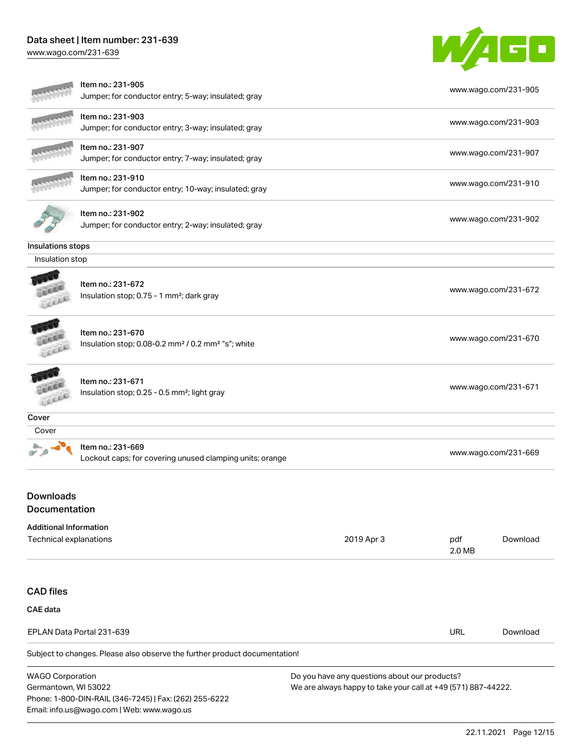Email: info.us@wago.com | Web: www.wago.us

[www.wago.com/231-639](http://www.wago.com/231-639)



|                                                         | Item no.: 231-905<br>Jumper; for conductor entry; 5-way; insulated; gray                        |                                                                                                                |               | www.wago.com/231-905 |
|---------------------------------------------------------|-------------------------------------------------------------------------------------------------|----------------------------------------------------------------------------------------------------------------|---------------|----------------------|
|                                                         | Item no.: 231-903<br>Jumper; for conductor entry; 3-way; insulated; gray                        |                                                                                                                |               | www.wago.com/231-903 |
|                                                         | Item no.: 231-907<br>Jumper; for conductor entry; 7-way; insulated; gray                        |                                                                                                                |               | www.wago.com/231-907 |
|                                                         | Item no.: 231-910<br>Jumper; for conductor entry; 10-way; insulated; gray                       |                                                                                                                |               | www.wago.com/231-910 |
|                                                         | Item no.: 231-902<br>Jumper; for conductor entry; 2-way; insulated; gray                        |                                                                                                                |               | www.wago.com/231-902 |
| Insulations stops                                       |                                                                                                 |                                                                                                                |               |                      |
| Insulation stop                                         |                                                                                                 |                                                                                                                |               |                      |
|                                                         | Item no.: 231-672<br>Insulation stop; 0.75 - 1 mm <sup>2</sup> ; dark gray                      |                                                                                                                |               | www.wago.com/231-672 |
|                                                         | Item no.: 231-670<br>Insulation stop; 0.08-0.2 mm <sup>2</sup> / 0.2 mm <sup>2</sup> "s"; white |                                                                                                                |               | www.wago.com/231-670 |
|                                                         | Item no.: 231-671<br>Insulation stop; 0.25 - 0.5 mm <sup>2</sup> ; light gray                   |                                                                                                                |               | www.wago.com/231-671 |
| Cover                                                   |                                                                                                 |                                                                                                                |               |                      |
| Cover                                                   |                                                                                                 |                                                                                                                |               |                      |
|                                                         | Item no.: 231-669<br>Lockout caps; for covering unused clamping units; orange                   |                                                                                                                |               | www.wago.com/231-669 |
| <b>Downloads</b><br>Documentation                       |                                                                                                 |                                                                                                                |               |                      |
| <b>Additional Information</b><br>Technical explanations |                                                                                                 | 2019 Apr 3                                                                                                     | pdf<br>2.0 MB | Download             |
| <b>CAD</b> files                                        |                                                                                                 |                                                                                                                |               |                      |
| <b>CAE</b> data                                         |                                                                                                 |                                                                                                                |               |                      |
|                                                         | EPLAN Data Portal 231-639                                                                       |                                                                                                                | <b>URL</b>    | Download             |
|                                                         | Subject to changes. Please also observe the further product documentation!                      |                                                                                                                |               |                      |
| <b>WAGO Corporation</b><br>Germantown, WI 53022         | Phone: 1-800-DIN-RAIL (346-7245)   Fax: (262) 255-6222                                          | Do you have any questions about our products?<br>We are always happy to take your call at +49 (571) 887-44222. |               |                      |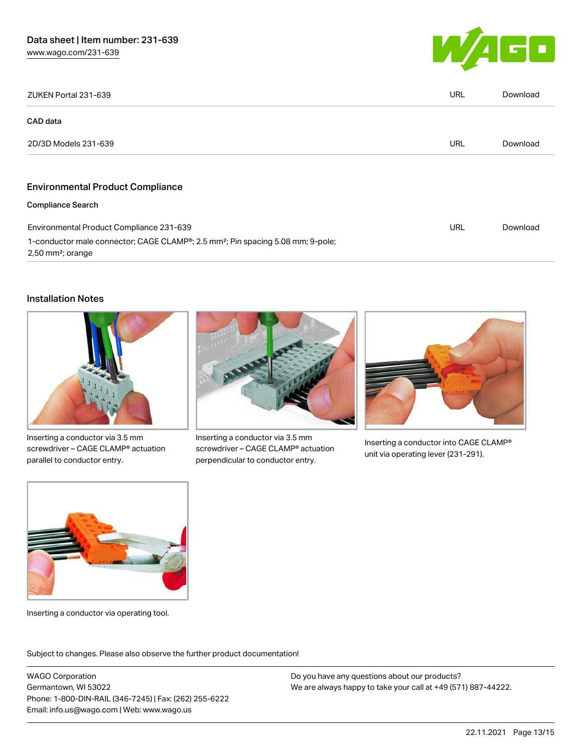

| ZUKEN Portal 231-639                                                                                                                        | <b>URL</b> | Download |
|---------------------------------------------------------------------------------------------------------------------------------------------|------------|----------|
| CAD data                                                                                                                                    |            |          |
| 2D/3D Models 231-639                                                                                                                        | <b>URL</b> | Download |
|                                                                                                                                             |            |          |
| <b>Environmental Product Compliance</b>                                                                                                     |            |          |
| <b>Compliance Search</b>                                                                                                                    |            |          |
| Environmental Product Compliance 231-639                                                                                                    | URL        | Download |
| 1-conductor male connector; CAGE CLAMP <sup>®</sup> ; 2.5 mm <sup>2</sup> ; Pin spacing 5.08 mm; 9-pole;<br>$2,50$ mm <sup>2</sup> ; orange |            |          |

#### Installation Notes



Inserting a conductor via 3.5 mm screwdriver – CAGE CLAMP® actuation parallel to conductor entry.



Inserting a conductor via 3.5 mm screwdriver – CAGE CLAMP® actuation perpendicular to conductor entry.



Inserting a conductor into CAGE CLAMP® unit via operating lever (231-291).



Inserting a conductor via operating tool.

Subject to changes. Please also observe the further product documentation!

WAGO Corporation Germantown, WI 53022 Phone: 1-800-DIN-RAIL (346-7245) | Fax: (262) 255-6222 Email: info.us@wago.com | Web: www.wago.us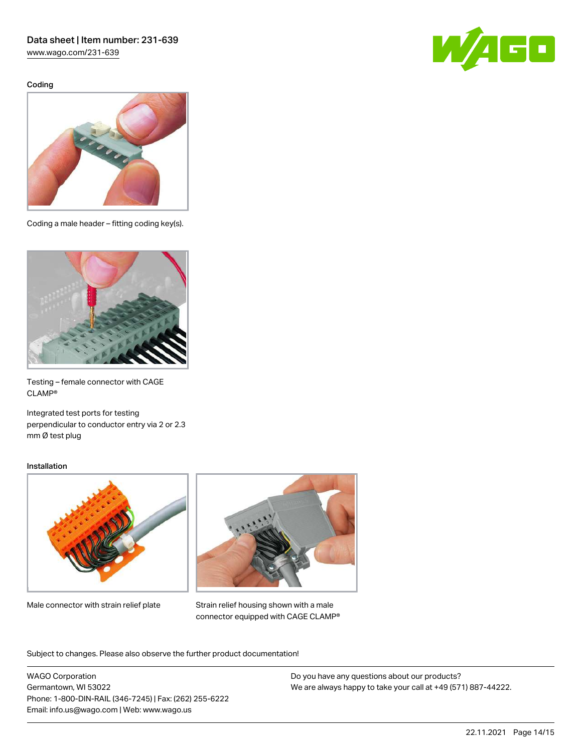[www.wago.com/231-639](http://www.wago.com/231-639)

Coding





Coding a male header – fitting coding key(s).



Testing – female connector with CAGE CLAMP®

Integrated test ports for testing perpendicular to conductor entry via 2 or 2.3 mm Ø test plug

#### Installation



Male connector with strain relief plate



Strain relief housing shown with a male connector equipped with CAGE CLAMP®

Subject to changes. Please also observe the further product documentation!

WAGO Corporation Germantown, WI 53022 Phone: 1-800-DIN-RAIL (346-7245) | Fax: (262) 255-6222 Email: info.us@wago.com | Web: www.wago.us